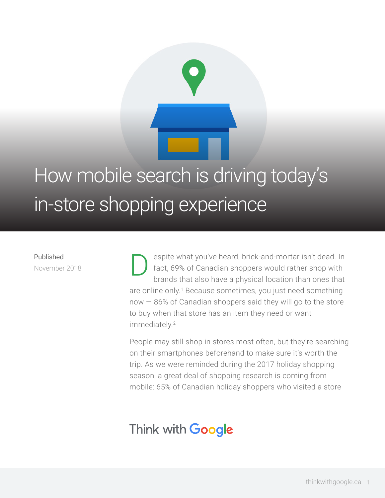# How mobile search is driving today's in-store shopping experience

### Published November 2018

espite what you've heard, brick-and-mortar isn't dead. In fact, 69% of Canadian shoppers would rather shop with brands that also have a physical location than ones that are online only.<sup>1</sup> Because sometimes, you just need something  $now - 86%$  of Canadian shoppers said they will go to the store to buy when that store has an item they need or want immediately.<sup>2</sup> D

People may still shop in stores most often, but they're searching on their smartphones beforehand to make sure it's worth the trip. As we were reminded during the 2017 holiday shopping season, a great deal of shopping research is coming from mobile: 65% of Canadian holiday shoppers who visited a store

## Think with Google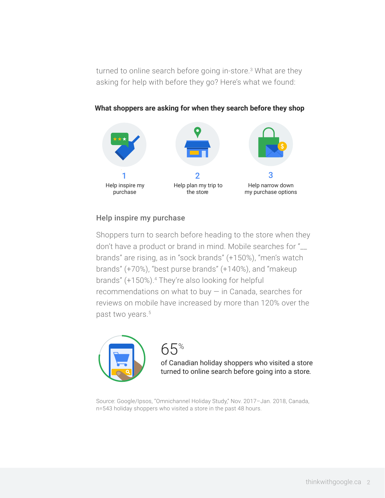turned to online search before going in-store.<sup>3</sup> What are they asking for help with before they go? Here's what we found:



### **What shoppers are asking for when they search before they shop**

### Help inspire my purchase

Shoppers turn to search before heading to the store when they don't have a product or brand in mind. Mobile searches for "\_\_ brands" are rising, as in "sock brands" (+150%), "men's watch brands" (+70%), "best purse brands" (+140%), and "makeup brands" (+150%).4 They're also looking for helpful recommendations on what to buy — in Canada, searches for reviews on mobile have increased by more than 120% over the past two years.<sup>5</sup>



### 65%

of Canadian holiday shoppers who visited a store turned to online search before going into a store.

Source: Google/Ipsos, "Omnichannel Holiday Study," Nov. 2017–Jan. 2018, Canada, n=543 holiday shoppers who visited a store in the past 48 hours.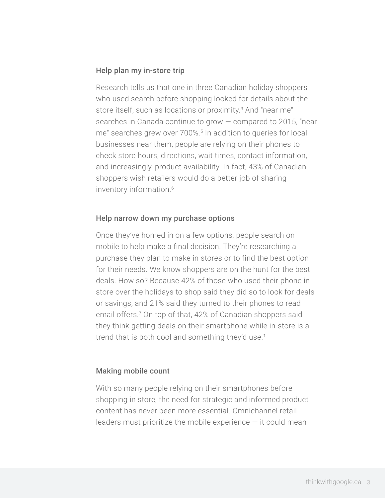### Help plan my in-store trip

Research tells us that one in three Canadian holiday shoppers who used search before shopping looked for details about the store itself, such as locations or proximity.<sup>3</sup> And "near me" searches in Canada continue to grow — compared to 2015, "near me" searches grew over 700%.<sup>5</sup> In addition to queries for local businesses near them, people are relying on their phones to check store hours, directions, wait times, contact information, and increasingly, product availability. In fact, 43% of Canadian shoppers wish retailers would do a better job of sharing inventory information.<sup>6</sup>

### Help narrow down my purchase options

Once they've homed in on a few options, people search on mobile to help make a final decision. They're researching a purchase they plan to make in stores or to find the best option for their needs. We know shoppers are on the hunt for the best deals. How so? Because 42% of those who used their phone in store over the holidays to shop said they did so to look for deals or savings, and 21% said they turned to their phones to read email offers.7 On top of that, 42% of Canadian shoppers said they think getting deals on their smartphone while in-store is a trend that is both cool and something they'd use.<sup>1</sup>

#### Making mobile count

With so many people relying on their smartphones before shopping in store, the need for strategic and informed product content has never been more essential. Omnichannel retail leaders must prioritize the mobile experience  $-$  it could mean